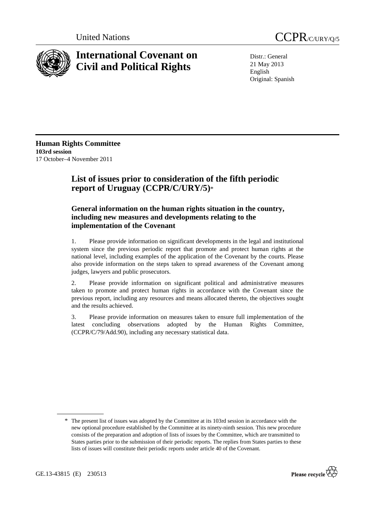



# **International Covenant on Civil and Political Rights**

Distr.: General 21 May 2013 English Original: Spanish

**Human Rights Committee 103rd session**  17 October–4 November 2011

# **List of issues prior to consideration of the fifth periodic report of Uruguay (CCPR/C/URY/5)**\*

## **General information on the human rights situation in the country, including new measures and developments relating to the implementation of the Covenant**

1. Please provide information on significant developments in the legal and institutional system since the previous periodic report that promote and protect human rights at the national level, including examples of the application of the Covenant by the courts. Please also provide information on the steps taken to spread awareness of the Covenant among judges, lawyers and public prosecutors.

2. Please provide information on significant political and administrative measures taken to promote and protect human rights in accordance with the Covenant since the previous report, including any resources and means allocated thereto, the objectives sought and the results achieved.

3. Please provide information on measures taken to ensure full implementation of the latest concluding observations adopted by the Human Rights Committee, (CCPR/C/79/Add.90), including any necessary statistical data.



<sup>\*</sup> The present list of issues was adopted by the Committee at its 103rd session in accordance with the new optional procedure established by the Committee at its ninety-ninth session. This new procedure consists of the preparation and adoption of lists of issues by the Committee, which are transmitted to States parties prior to the submission of their periodic reports. The replies from States parties to these lists of issues will constitute their periodic reports under article 40 of the Covenant.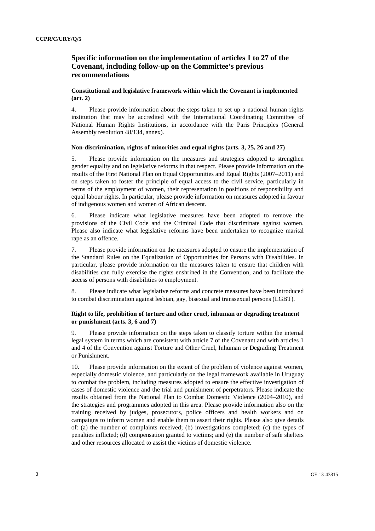### **Specific information on the implementation of articles 1 to 27 of the Covenant, including follow-up on the Committee's previous recommendations**

#### **Constitutional and legislative framework within which the Covenant is implemented (art. 2)**

4. Please provide information about the steps taken to set up a national human rights institution that may be accredited with the International Coordinating Committee of National Human Rights Institutions, in accordance with the Paris Principles (General Assembly resolution 48/134, annex).

#### **Non-discrimination, rights of minorities and equal rights (arts. 3, 25, 26 and 27)**

5. Please provide information on the measures and strategies adopted to strengthen gender equality and on legislative reforms in that respect. Please provide information on the results of the First National Plan on Equal Opportunities and Equal Rights (2007–2011) and on steps taken to foster the principle of equal access to the civil service, particularly in terms of the employment of women, their representation in positions of responsibility and equal labour rights. In particular, please provide information on measures adopted in favour of indigenous women and women of African descent.

6. Please indicate what legislative measures have been adopted to remove the provisions of the Civil Code and the Criminal Code that discriminate against women. Please also indicate what legislative reforms have been undertaken to recognize marital rape as an offence.

7. Please provide information on the measures adopted to ensure the implementation of the Standard Rules on the Equalization of Opportunities for Persons with Disabilities. In particular, please provide information on the measures taken to ensure that children with disabilities can fully exercise the rights enshrined in the Convention, and to facilitate the access of persons with disabilities to employment.

8. Please indicate what legislative reforms and concrete measures have been introduced to combat discrimination against lesbian, gay, bisexual and transsexual persons (LGBT).

#### **Right to life, prohibition of torture and other cruel, inhuman or degrading treatment or punishment (arts. 3, 6 and 7)**

9. Please provide information on the steps taken to classify torture within the internal legal system in terms which are consistent with article 7 of the Covenant and with articles 1 and 4 of the Convention against Torture and Other Cruel, Inhuman or Degrading Treatment or Punishment.

10. Please provide information on the extent of the problem of violence against women, especially domestic violence, and particularly on the legal framework available in Uruguay to combat the problem, including measures adopted to ensure the effective investigation of cases of domestic violence and the trial and punishment of perpetrators. Please indicate the results obtained from the National Plan to Combat Domestic Violence (2004–2010), and the strategies and programmes adopted in this area. Please provide information also on the training received by judges, prosecutors, police officers and health workers and on campaigns to inform women and enable them to assert their rights. Please also give details of: (a) the number of complaints received; (b) investigations completed; (c) the types of penalties inflicted; (d) compensation granted to victims; and (e) the number of safe shelters and other resources allocated to assist the victims of domestic violence.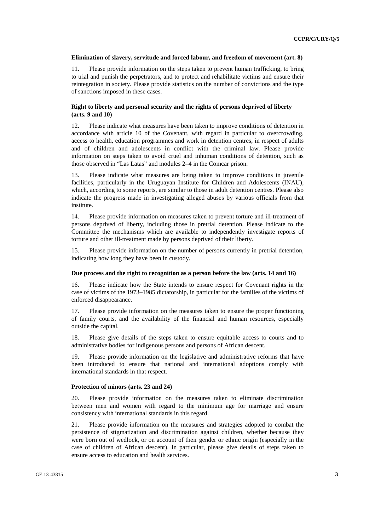#### **Elimination of slavery, servitude and forced labour, and freedom of movement (art. 8)**

11. Please provide information on the steps taken to prevent human trafficking, to bring to trial and punish the perpetrators, and to protect and rehabilitate victims and ensure their reintegration in society. Please provide statistics on the number of convictions and the type of sanctions imposed in these cases.

#### **Right to liberty and personal security and the rights of persons deprived of liberty (arts. 9 and 10)**

12. Please indicate what measures have been taken to improve conditions of detention in accordance with article 10 of the Covenant, with regard in particular to overcrowding, access to health, education programmes and work in detention centres, in respect of adults and of children and adolescents in conflict with the criminal law. Please provide information on steps taken to avoid cruel and inhuman conditions of detention, such as those observed in "Las Latas" and modules 2–4 in the Comcar prison.

13. Please indicate what measures are being taken to improve conditions in juvenile facilities, particularly in the Uruguayan Institute for Children and Adolescents (INAU), which, according to some reports, are similar to those in adult detention centres. Please also indicate the progress made in investigating alleged abuses by various officials from that institute.

14. Please provide information on measures taken to prevent torture and ill-treatment of persons deprived of liberty, including those in pretrial detention. Please indicate to the Committee the mechanisms which are available to independently investigate reports of torture and other ill-treatment made by persons deprived of their liberty.

15. Please provide information on the number of persons currently in pretrial detention, indicating how long they have been in custody.

#### **Due process and the right to recognition as a person before the law (arts. 14 and 16)**

16. Please indicate how the State intends to ensure respect for Covenant rights in the case of victims of the 1973–1985 dictatorship, in particular for the families of the victims of enforced disappearance.

17. Please provide information on the measures taken to ensure the proper functioning of family courts, and the availability of the financial and human resources, especially outside the capital.

18. Please give details of the steps taken to ensure equitable access to courts and to administrative bodies for indigenous persons and persons of African descent.

19. Please provide information on the legislative and administrative reforms that have been introduced to ensure that national and international adoptions comply with international standards in that respect.

#### **Protection of minors (arts. 23 and 24)**

20. Please provide information on the measures taken to eliminate discrimination between men and women with regard to the minimum age for marriage and ensure consistency with international standards in this regard.

21. Please provide information on the measures and strategies adopted to combat the persistence of stigmatization and discrimination against children, whether because they were born out of wedlock, or on account of their gender or ethnic origin (especially in the case of children of African descent). In particular, please give details of steps taken to ensure access to education and health services.